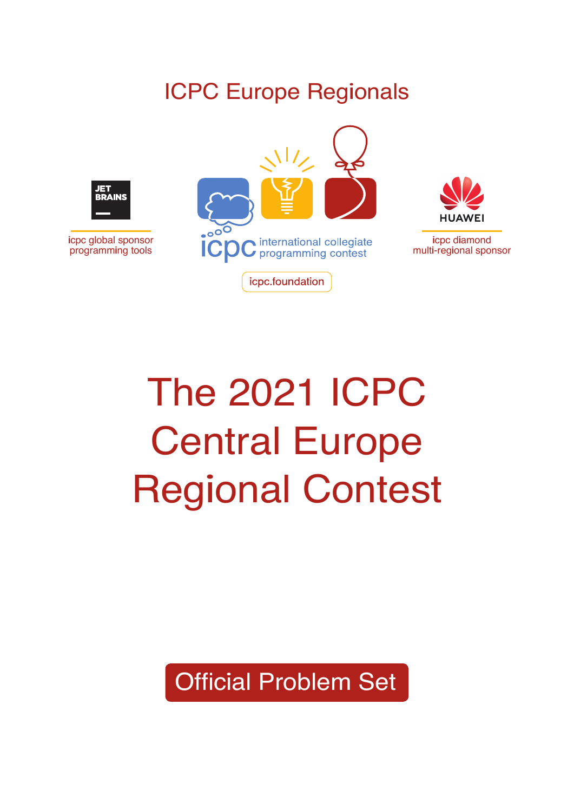# ICPC Europe Regionals



icpc global sponsor programming tools





icpc diamond multi-regional sponsor

# The 2021 ICPC Central Europe Regional Contest

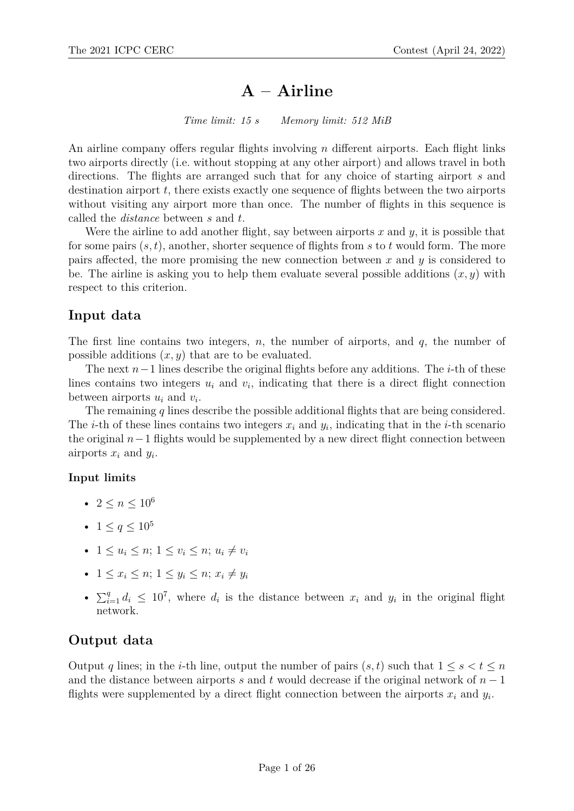# **A – Airline**

*Time limit: 15 s Memory limit: 512 MiB*

An airline company offers regular flights involving *n* different airports. Each flight links two airports directly (i.e. without stopping at any other airport) and allows travel in both directions. The flights are arranged such that for any choice of starting airport *s* and destination airport *t*, there exists exactly one sequence of flights between the two airports without visiting any airport more than once. The number of flights in this sequence is called the *distance* between *s* and *t*.

Were the airline to add another flight, say between airports *x* and *y*, it is possible that for some pairs (*s, t*), another, shorter sequence of flights from *s* to *t* would form. The more pairs affected, the more promising the new connection between *x* and *y* is considered to be. The airline is asking you to help them evaluate several possible additions  $(x, y)$  with respect to this criterion.

# **Input data**

The first line contains two integers, *n*, the number of airports, and *q*, the number of possible additions (*x, y*) that are to be evaluated.

The next *n*−1 lines describe the original flights before any additions. The *i*-th of these lines contains two integers  $u_i$  and  $v_i$ , indicating that there is a direct flight connection between airports  $u_i$  and  $v_i$ .

The remaining *q* lines describe the possible additional flights that are being considered. The *i*-th of these lines contains two integers  $x_i$  and  $y_i$ , indicating that in the *i*-th scenario the original *n*−1 flights would be supplemented by a new direct flight connection between airports *x<sup>i</sup>* and *y<sup>i</sup>* .

#### **Input limits**

- $2 \leq n \leq 10^6$
- 1  $\leq$  *q*  $\leq$  10<sup>5</sup>
- $1 \le u_i \le n; 1 \le v_i \le n; u_i \ne v_i$
- 1  $\leq x_i \leq n; 1 \leq y_i \leq n; x_i \neq y_i$
- $\sum_{i=1}^{q} d_i \leq 10^7$ , where  $d_i$  is the distance between  $x_i$  and  $y_i$  in the original flight network.

# **Output data**

Output *q* lines; in the *i*-th line, output the number of pairs  $(s, t)$  such that  $1 \leq s < t \leq n$ and the distance between airports *s* and *t* would decrease if the original network of *n* − 1 flights were supplemented by a direct flight connection between the airports  $x_i$  and  $y_i$ .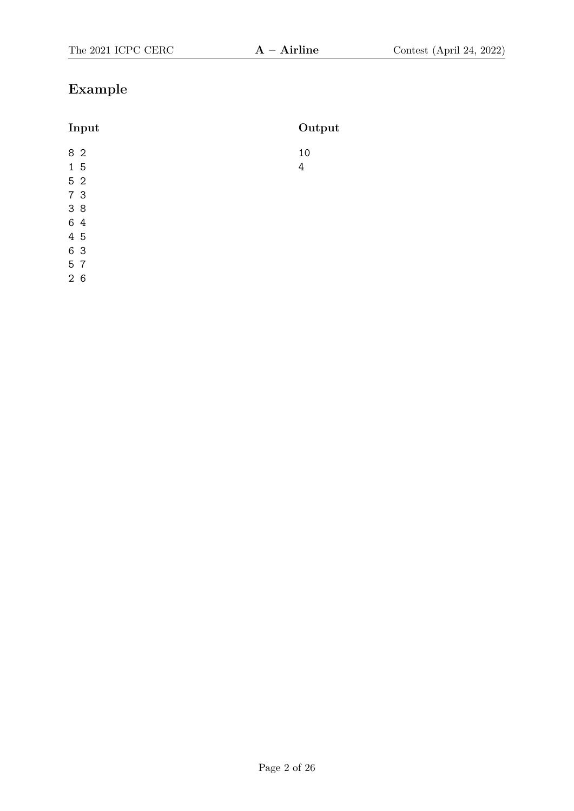| Input               | Output  |
|---------------------|---------|
| 8 2<br>15           | 10<br>4 |
| 5 2                 |         |
| 7 3                 |         |
| 3 8                 |         |
| 6<br>4              |         |
| 4 5                 |         |
| 6 3                 |         |
| 5<br>$\overline{7}$ |         |

2 6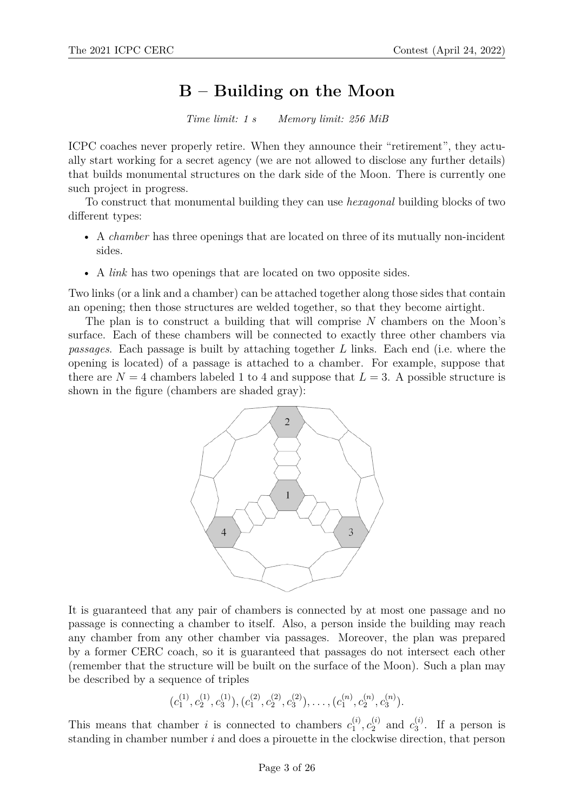# **B – Building on the Moon**

*Time limit: 1 s Memory limit: 256 MiB*

ICPC coaches never properly retire. When they announce their "retirement", they actually start working for a secret agency (we are not allowed to disclose any further details) that builds monumental structures on the dark side of the Moon. There is currently one such project in progress.

To construct that monumental building they can use *hexagonal* building blocks of two different types:

- A *chamber* has three openings that are located on three of its mutually non-incident sides.
- A *link* has two openings that are located on two opposite sides.

Two links (or a link and a chamber) can be attached together along those sides that contain an opening; then those structures are welded together, so that they become airtight.

The plan is to construct a building that will comprise *N* chambers on the Moon's surface. Each of these chambers will be connected to exactly three other chambers via *passages*. Each passage is built by attaching together *L* links. Each end (i.e. where the opening is located) of a passage is attached to a chamber. For example, suppose that there are  $N = 4$  chambers labeled 1 to 4 and suppose that  $L = 3$ . A possible structure is shown in the figure (chambers are shaded gray):



It is guaranteed that any pair of chambers is connected by at most one passage and no passage is connecting a chamber to itself. Also, a person inside the building may reach any chamber from any other chamber via passages. Moreover, the plan was prepared by a former CERC coach, so it is guaranteed that passages do not intersect each other (remember that the structure will be built on the surface of the Moon). Such a plan may be described by a sequence of triples

$$
(c_1^{(1)}, c_2^{(1)}, c_3^{(1)}), (c_1^{(2)}, c_2^{(2)}, c_3^{(2)}), \ldots, (c_1^{(n)}, c_2^{(n)}, c_3^{(n)}).
$$

This means that chamber *i* is connected to chambers  $c_1^{(i)}$  $c_1^{(i)}$ ,  $c_2^{(i)}$  and  $c_3^{(i)}$  $\mathbf{S}_3^{(i)}$ . If a person is standing in chamber number *i* and does a pirouette in the clockwise direction, that person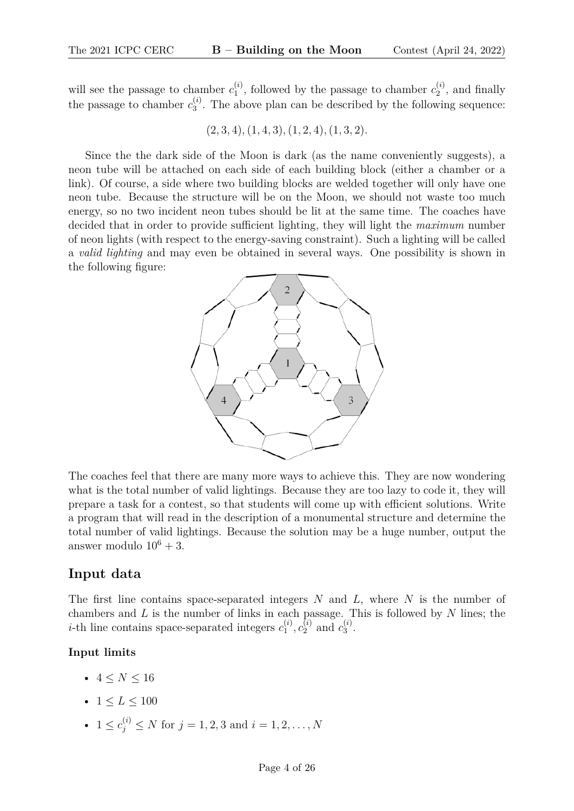will see the passage to chamber  $c_1^{(i)}$  $\binom{i}{1}$ , followed by the passage to chamber  $c_2^{(i)}$  $x_2^{(i)}$ , and finally the passage to chamber  $c_3^{(i)}$  $\mathbb{S}_3^{(i)}$ . The above plan can be described by the following sequence:

$$
(2,3,4), (1,4,3), (1,2,4), (1,3,2).
$$

Since the the dark side of the Moon is dark (as the name conveniently suggests), a neon tube will be attached on each side of each building block (either a chamber or a link). Of course, a side where two building blocks are welded together will only have one neon tube. Because the structure will be on the Moon, we should not waste too much energy, so no two incident neon tubes should be lit at the same time. The coaches have decided that in order to provide sufficient lighting, they will light the *maximum* number of neon lights (with respect to the energy-saving constraint). Such a lighting will be called a *valid lighting* and may even be obtained in several ways. One possibility is shown in the following figure:



The coaches feel that there are many more ways to achieve this. They are now wondering what is the total number of valid lightings. Because they are too lazy to code it, they will prepare a task for a contest, so that students will come up with efficient solutions. Write a program that will read in the description of a monumental structure and determine the total number of valid lightings. Because the solution may be a huge number, output the answer modulo  $10^6 + 3$ .

#### **Input data**

The first line contains space-separated integers *N* and *L*, where *N* is the number of chambers and *L* is the number of links in each passage. This is followed by *N* lines; the *i*-th line contains space-separated integers  $c_1^{(i)}$  $c_1^{(i)}$ ,  $c_2^{(i)}$  and  $c_3^{(i)}$  $\stackrel{(i)}{3}.$ 

#### **Input limits**

- $4 \le N \le 16$
- $1 \leq L \leq 100$
- $1 \leq c_j^{(i)} \leq N$  for  $j = 1, 2, 3$  and  $i = 1, 2, ..., N$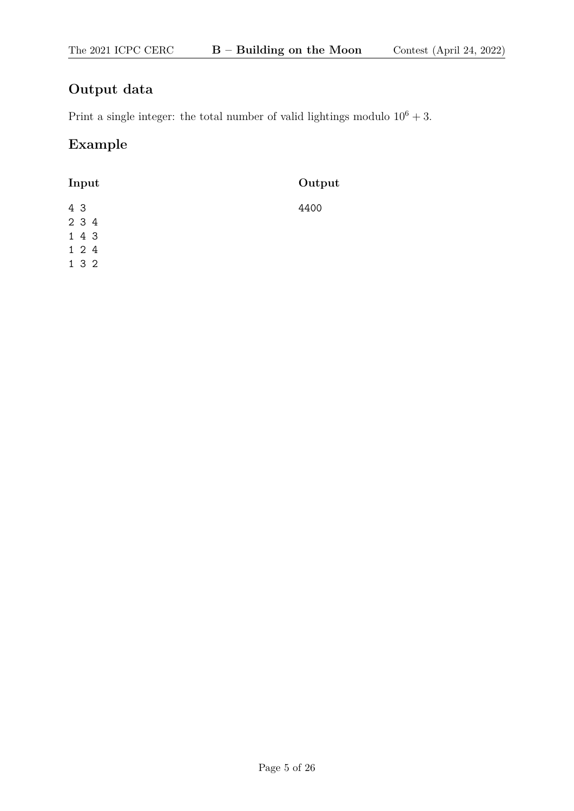# **Output data**

Print a single integer: the total number of valid lightings modulo  $10^6 + 3$ .

# **Example**

| Input |  | Output |
|-------|--|--------|
| 4 3   |  | 4400   |
| 2 3 4 |  |        |
| 1 4 3 |  |        |
| 124   |  |        |
| 1 3 2 |  |        |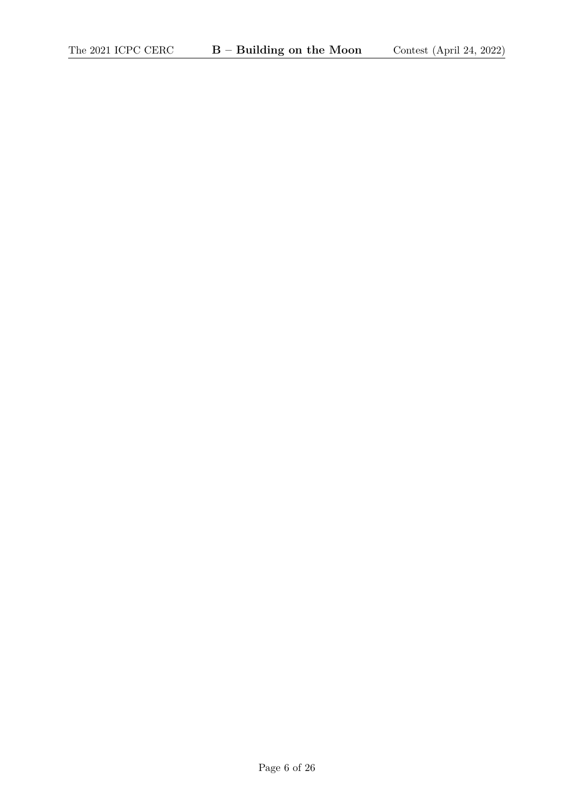Page 6 of 26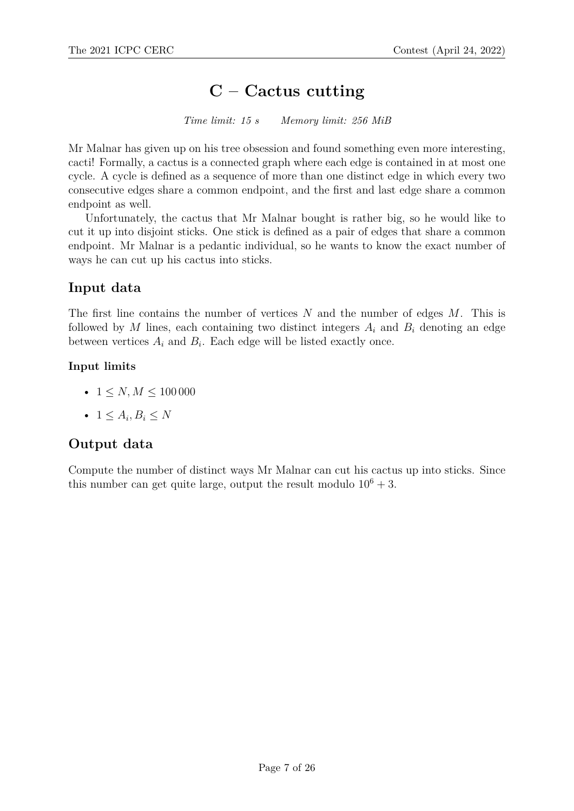# **C – Cactus cutting**

*Time limit: 15 s Memory limit: 256 MiB*

Mr Malnar has given up on his tree obsession and found something even more interesting, cacti! Formally, a cactus is a connected graph where each edge is contained in at most one cycle. A cycle is defined as a sequence of more than one distinct edge in which every two consecutive edges share a common endpoint, and the first and last edge share a common endpoint as well.

Unfortunately, the cactus that Mr Malnar bought is rather big, so he would like to cut it up into disjoint sticks. One stick is defined as a pair of edges that share a common endpoint. Mr Malnar is a pedantic individual, so he wants to know the exact number of ways he can cut up his cactus into sticks.

## **Input data**

The first line contains the number of vertices *N* and the number of edges *M*. This is followed by *M* lines, each containing two distinct integers  $A_i$  and  $B_i$  denoting an edge between vertices  $A_i$  and  $B_i$ . Each edge will be listed exactly once.

#### **Input limits**

- $1 \le N, M \le 100000$
- $1 \leq A_i, B_i \leq N$

## **Output data**

Compute the number of distinct ways Mr Malnar can cut his cactus up into sticks. Since this number can get quite large, output the result modulo  $10^6 + 3$ .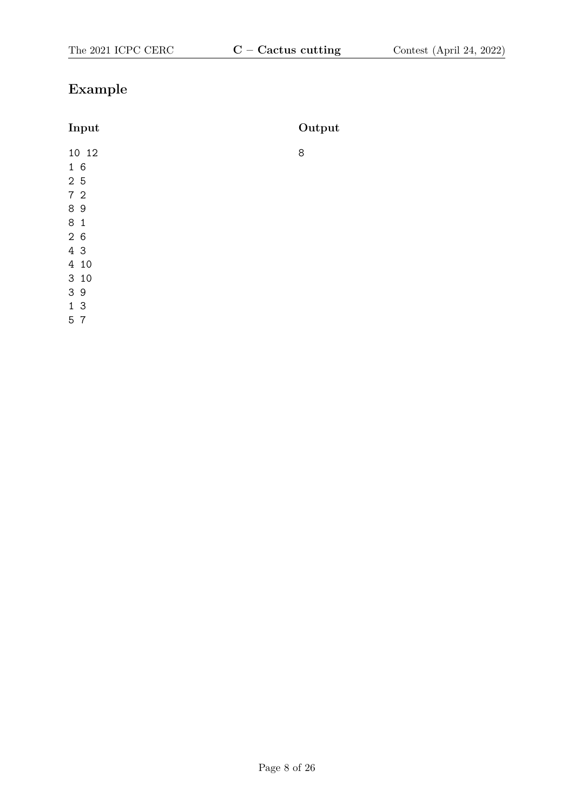| Input          | Output |
|----------------|--------|
| 10 12          | 8      |
| 16             |        |
| 2 5            |        |
| 72             |        |
| 89             |        |
| 8 1            |        |
| 26             |        |
| 4 3            |        |
| 4 10           |        |
| 3 10           |        |
| 39             |        |
| 1 <sub>3</sub> |        |

5 7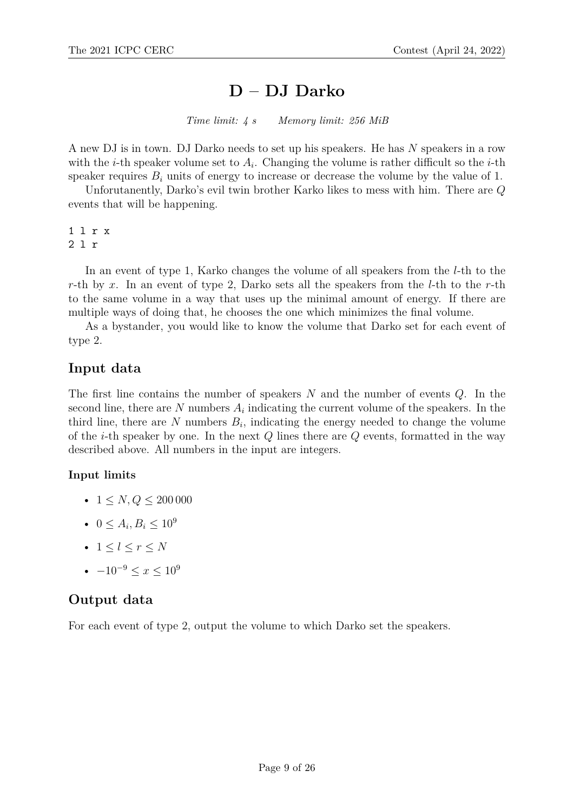# **D – DJ Darko**

*Time limit: 4 s Memory limit: 256 MiB*

A new DJ is in town. DJ Darko needs to set up his speakers. He has *N* speakers in a row with the *i*-th speaker volume set to  $A_i$ . Changing the volume is rather difficult so the *i*-th speaker requires  $B_i$  units of energy to increase or decrease the volume by the value of 1.

Unforutanently, Darko's evil twin brother Karko likes to mess with him. There are *Q* events that will be happening.

1 l r x 2 l r

In an event of type 1, Karko changes the volume of all speakers from the *l*-th to the *r*-th by *x*. In an event of type 2, Darko sets all the speakers from the *l*-th to the *r*-th to the same volume in a way that uses up the minimal amount of energy. If there are multiple ways of doing that, he chooses the one which minimizes the final volume.

As a bystander, you would like to know the volume that Darko set for each event of type 2.

## **Input data**

The first line contains the number of speakers *N* and the number of events *Q*. In the second line, there are  $N$  numbers  $A_i$  indicating the current volume of the speakers. In the third line, there are  $N$  numbers  $B_i$ , indicating the energy needed to change the volume of the *i*-th speaker by one. In the next *Q* lines there are *Q* events, formatted in the way described above. All numbers in the input are integers.

#### **Input limits**

- $1 \le N, Q \le 200000$
- $0 \le A_i, B_i \le 10^9$
- 1 ≤ *l* ≤ *r* ≤ *N*
- $-10^{-9} \leq x \leq 10^9$

## **Output data**

For each event of type 2, output the volume to which Darko set the speakers.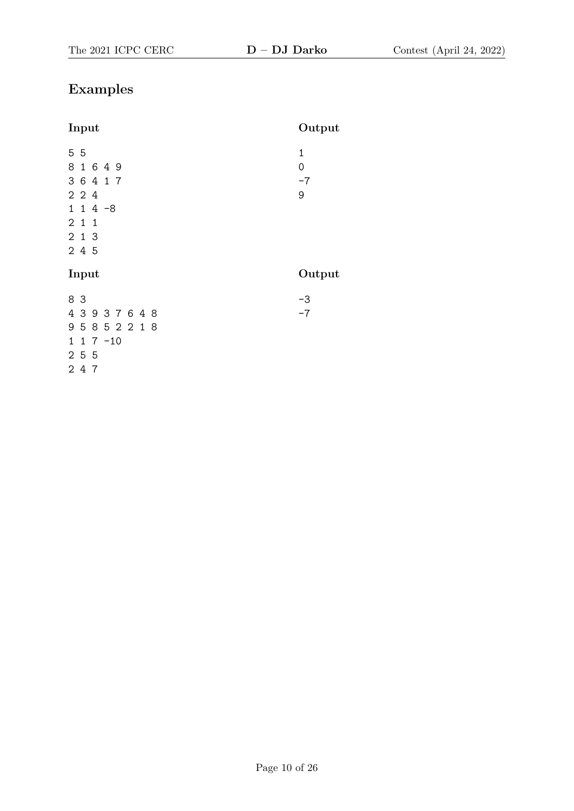| Input                                                                       | Output                         |
|-----------------------------------------------------------------------------|--------------------------------|
| 5 5<br>8 1 6 4 9<br>3 6 4 1 7<br>2 2 4<br>$1 1 4 -8$<br>211<br>213<br>2 4 5 | $\mathbf{1}$<br>0<br>$-7$<br>9 |
| Input                                                                       | Output                         |
| 8 3<br>4 3 9 3 7 6 4 8<br>9 5 8 5 2 2 1 8<br>$1 1 7 - 10$<br>2 5 5<br>2 4 7 | $-3$<br>$-7$                   |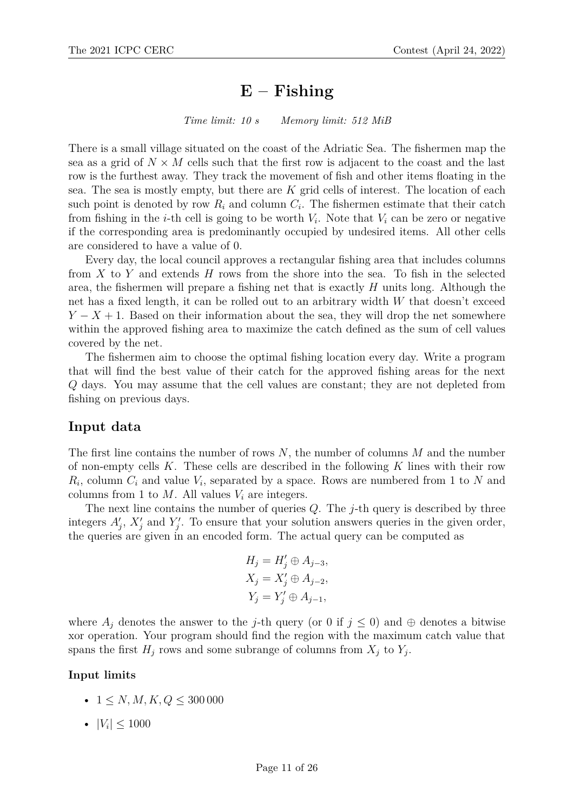# **E – Fishing**

*Time limit: 10 s Memory limit: 512 MiB*

There is a small village situated on the coast of the Adriatic Sea. The fishermen map the sea as a grid of  $N \times M$  cells such that the first row is adjacent to the coast and the last row is the furthest away. They track the movement of fish and other items floating in the sea. The sea is mostly empty, but there are *K* grid cells of interest. The location of each such point is denoted by row  $R_i$  and column  $C_i$ . The fishermen estimate that their catch from fishing in the *i*-th cell is going to be worth  $V_i$ . Note that  $V_i$  can be zero or negative if the corresponding area is predominantly occupied by undesired items. All other cells are considered to have a value of 0.

Every day, the local council approves a rectangular fishing area that includes columns from *X* to *Y* and extends *H* rows from the shore into the sea. To fish in the selected area, the fishermen will prepare a fishing net that is exactly *H* units long. Although the net has a fixed length, it can be rolled out to an arbitrary width *W* that doesn't exceed  $Y - X + 1$ . Based on their information about the sea, they will drop the net somewhere within the approved fishing area to maximize the catch defined as the sum of cell values covered by the net.

The fishermen aim to choose the optimal fishing location every day. Write a program that will find the best value of their catch for the approved fishing areas for the next *Q* days. You may assume that the cell values are constant; they are not depleted from fishing on previous days.

#### **Input data**

The first line contains the number of rows *N*, the number of columns *M* and the number of non-empty cells *K*. These cells are described in the following *K* lines with their row  $R_i$ , column  $C_i$  and value  $V_i$ , separated by a space. Rows are numbered from 1 to  $N$  and columns from 1 to  $M$ . All values  $V_i$  are integers.

The next line contains the number of queries *Q*. The *j*-th query is described by three integers  $A'_{j}$ ,  $X'_{j}$  and  $Y'_{j}$ . To ensure that your solution answers queries in the given order, the queries are given in an encoded form. The actual query can be computed as

$$
H_j = H'_j \oplus A_{j-3},
$$
  
\n
$$
X_j = X'_j \oplus A_{j-2},
$$
  
\n
$$
Y_j = Y'_j \oplus A_{j-1},
$$

where  $A_j$  denotes the answer to the *j*-th query (or 0 if  $j \leq 0$ ) and  $\oplus$  denotes a bitwise xor operation. Your program should find the region with the maximum catch value that spans the first  $H_j$  rows and some subrange of columns from  $X_j$  to  $Y_j$ .

#### **Input limits**

- $1 \le N, M, K, Q \le 300000$
- $|V_i| \le 1000$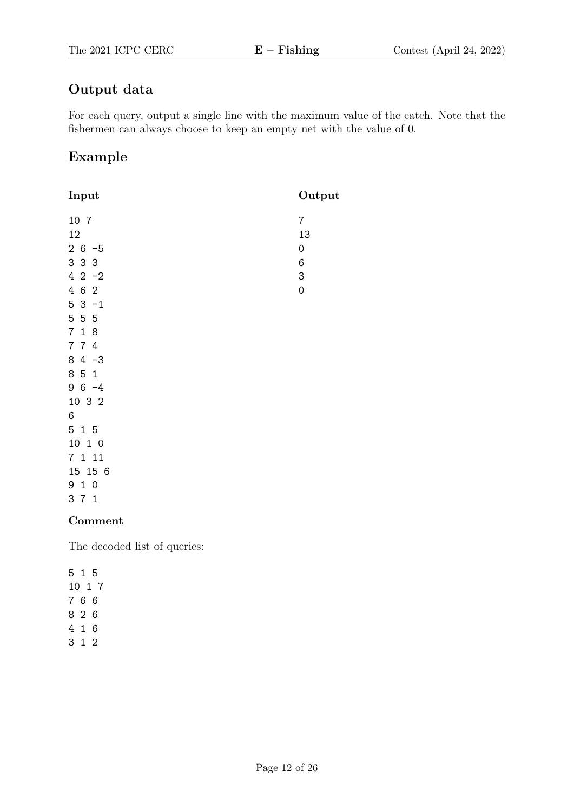# **Output data**

For each query, output a single line with the maximum value of the catch. Note that the fishermen can always choose to keep an empty net with the value of 0.

# **Example**

| Input                | Oι             |
|----------------------|----------------|
| 10 7                 | 7              |
| 12                   | 13             |
| $26 - 5$             | 0              |
| 3 3 3                | 6              |
| 4<br>$2 - 2$         | 3              |
| 4<br>6 2             | $\overline{0}$ |
| $53 - 1$             |                |
| 5 5 5                |                |
| 18<br>$\overline{7}$ |                |
| 774                  |                |
| 8<br>$4 - 3$         |                |
| 8<br>5 <sub>1</sub>  |                |
| $96 - 4$             |                |
| 10 3 2               |                |
| 6                    |                |
| 5 1 5                |                |
| 10 1 0               |                |
| 7 1 11               |                |
| 15 15 6              |                |
| 9 1 0                |                |
| 3 7 1                |                |

#### **Comment**

The decoded list of queries:

## **Output**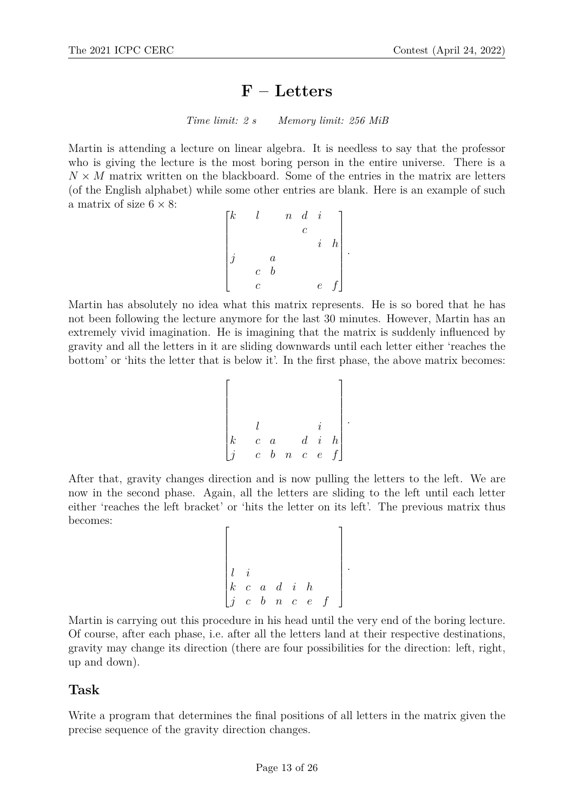# **F – Letters**

*Time limit: 2 s Memory limit: 256 MiB*

Martin is attending a lecture on linear algebra. It is needless to say that the professor who is giving the lecture is the most boring person in the entire universe. There is a  $N \times M$  matrix written on the blackboard. Some of the entries in the matrix are letters (of the English alphabet) while some other entries are blank. Here is an example of such a matrix of size  $6 \times 8$ :

$$
\begin{bmatrix} k & l & n & d & i \\ & & & c & & \\ & & & & i & h \\ j & & a & & & \\ c & b & & & & \\ c & & & e & f \end{bmatrix}.
$$

Martin has absolutely no idea what this matrix represents. He is so bored that he has not been following the lecture anymore for the last 30 minutes. However, Martin has an extremely vivid imagination. He is imagining that the matrix is suddenly influenced by gravity and all the letters in it are sliding downwards until each letter either 'reaches the bottom' or 'hits the letter that is below it'. In the first phase, the above matrix becomes:

$$
\begin{bmatrix} & & & & & \\ & l & & & & i & \\ & c & a & d & i & h \\ j & c & b & n & c & e & f \end{bmatrix}.
$$

After that, gravity changes direction and is now pulling the letters to the left. We are now in the second phase. Again, all the letters are sliding to the left until each letter either 'reaches the left bracket' or 'hits the letter on its left'. The previous matrix thus becomes:

```
\lceil

l i
k c a d i h
j c b n c e f
                                        1
                                        \begin{array}{c} \hline \end{array}.
```
Martin is carrying out this procedure in his head until the very end of the boring lecture. Of course, after each phase, i.e. after all the letters land at their respective destinations, gravity may change its direction (there are four possibilities for the direction: left, right, up and down).

## **Task**

Write a program that determines the final positions of all letters in the matrix given the precise sequence of the gravity direction changes.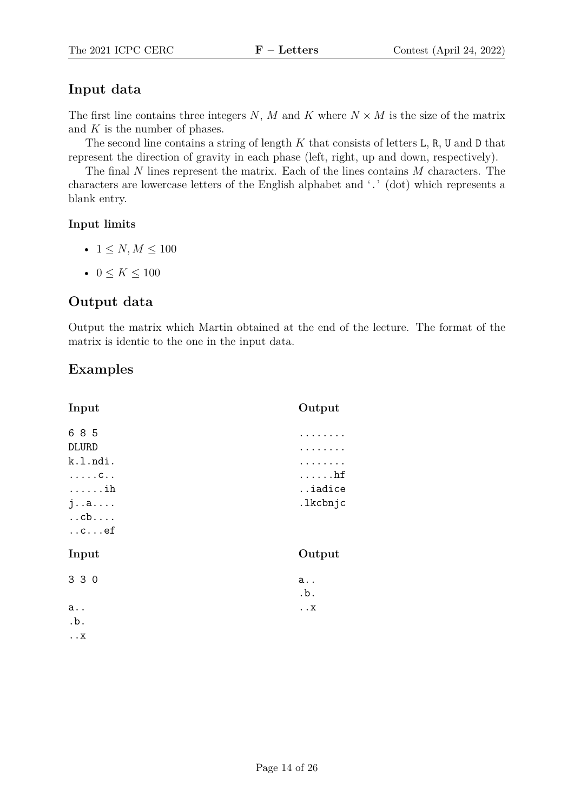# **Input data**

The first line contains three integers  $N$ ,  $M$  and  $K$  where  $N \times M$  is the size of the matrix and *K* is the number of phases.

The second line contains a string of length *K* that consists of letters L, R, U and D that represent the direction of gravity in each phase (left, right, up and down, respectively).

The final *N* lines represent the matrix. Each of the lines contains *M* characters. The characters are lowercase letters of the English alphabet and '.' (dot) which represents a blank entry.

#### **Input limits**

- $1 \le N, M \le 100$
- $0 \le K \le 100$

# **Output data**

Output the matrix which Martin obtained at the end of the lecture. The format of the matrix is identic to the one in the input data.

# **Examples**

| Input               | Output      |
|---------------------|-------------|
| 685                 | .           |
| DLURD               | .           |
| k.l.ndi.            | .           |
|                     | $\ldots$ hf |
| . ih                | iadice      |
| $j$ a               | .lkcbnjc    |
| $\ldots$ cb         |             |
| $\dots c \dots e f$ |             |
| Input               | Output      |
| 3 3 0               | a           |
|                     | .b.         |
| a                   | . . X       |
| .b.                 |             |
| . . X               |             |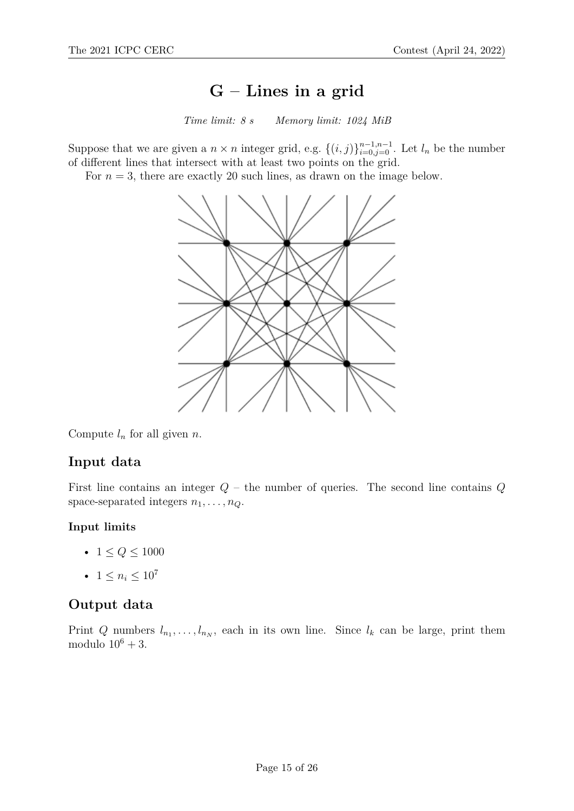# **G – Lines in a grid**

*Time limit: 8 s Memory limit: 1024 MiB*

Suppose that we are given a  $n \times n$  integer grid, e.g.  $\{(i,j)\}_{i=0,j=0}^{n-1,n-1}$ . Let  $l_n$  be the number of different lines that intersect with at least two points on the grid.

For  $n = 3$ , there are exactly 20 such lines, as drawn on the image below.



Compute  $l_n$  for all given  $n$ .

## **Input data**

First line contains an integer *Q* – the number of queries. The second line contains *Q* space-separated integers  $n_1, \ldots, n_Q$ .

#### **Input limits**

- $1 \le Q \le 1000$
- $1 \leq n_i \leq 10^7$

## **Output data**

Print *Q* numbers  $l_{n_1}, \ldots, l_{n_N}$ , each in its own line. Since  $l_k$  can be large, print them modulo  $10^6 + 3$ .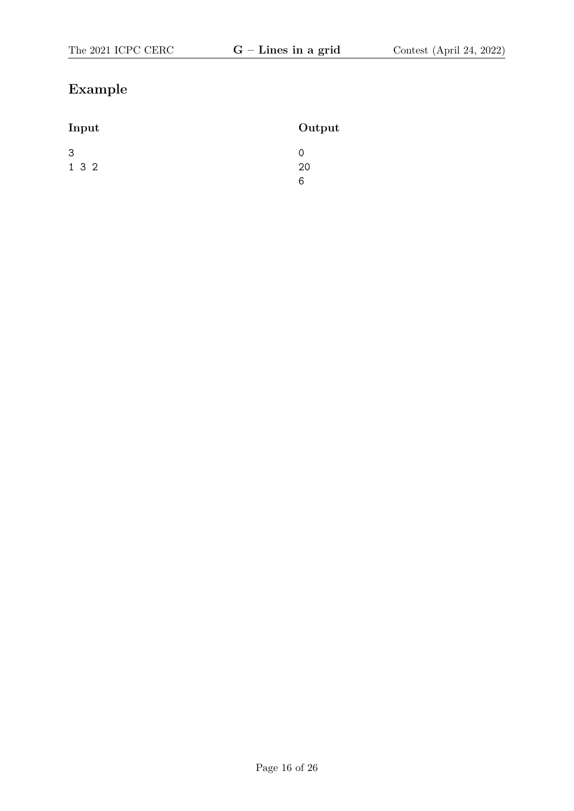| Input | Output           |
|-------|------------------|
| -3    | $\left( \right)$ |
| 1 3 2 | 20               |
|       | 6                |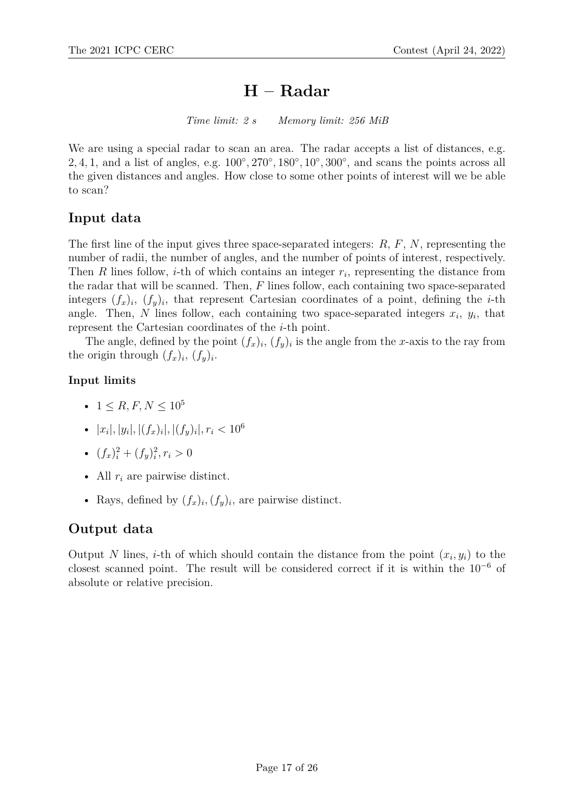# **H – Radar**

*Time limit: 2 s Memory limit: 256 MiB*

We are using a special radar to scan an area. The radar accepts a list of distances, e.g.  $2, 4, 1$ , and a list of angles, e.g.  $100^\circ, 270^\circ, 180^\circ, 10^\circ, 300^\circ$ , and scans the points across all the given distances and angles. How close to some other points of interest will we be able to scan?

# **Input data**

The first line of the input gives three space-separated integers: *R*, *F*, *N*, representing the number of radii, the number of angles, and the number of points of interest, respectively. Then  $R$  lines follow,  $i$ -th of which contains an integer  $r_i$ , representing the distance from the radar that will be scanned. Then, *F* lines follow, each containing two space-separated integers  $(f_x)_i$ ,  $(f_y)_i$ , that represent Cartesian coordinates of a point, defining the *i*-th angle. Then, N lines follow, each containing two space-separated integers  $x_i$ ,  $y_i$ , that represent the Cartesian coordinates of the *i*-th point.

The angle, defined by the point  $(f_x)_i$ ,  $(f_y)_i$  is the angle from the *x*-axis to the ray from the origin through  $(f_x)_i$ ,  $(f_y)_i$ .

#### **Input limits**

- 1  $\leq R, F, N \leq 10^5$
- $|x_i|, |y_i|, |(f_x)_i|, |(f_y)_i|, r_i < 10^6$
- $(f_x)_i^2 + (f_y)_i^2, r_i > 0$
- All  $r_i$  are pairwise distinct.
- Rays, defined by  $(f_x)_i$ ,  $(f_y)_i$ , are pairwise distinct.

# **Output data**

Output *N* lines, *i*-th of which should contain the distance from the point  $(x_i, y_i)$  to the closest scanned point. The result will be considered correct if it is within the  $10^{-6}$  of absolute or relative precision.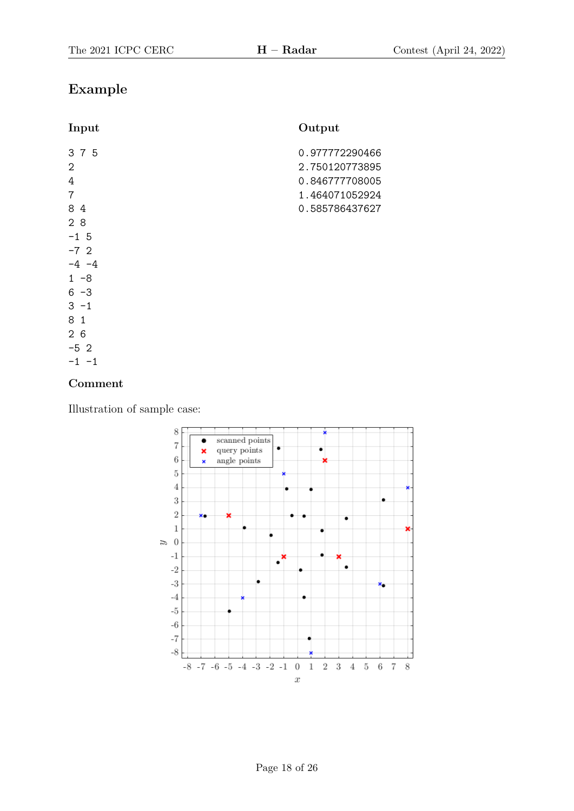| Input          | Output         |
|----------------|----------------|
| 3 7 5          | 0.977772290466 |
| $\overline{2}$ | 2.750120773895 |
| 4              | 0.846777708005 |
| $\overline{7}$ | 1.464071052924 |
| 8 4            | 0.585786437627 |
| 28             |                |
| $-1, 5$        |                |
| $-72$          |                |
| $-4$ $-4$      |                |
| $1 - 8$        |                |
| $6 - 3$        |                |
| $3 - 1$        |                |
| 8 1            |                |
| 26             |                |
| $-52$          |                |
| $-1$ $-1$      |                |

#### **Comment**

Illustration of sample case:

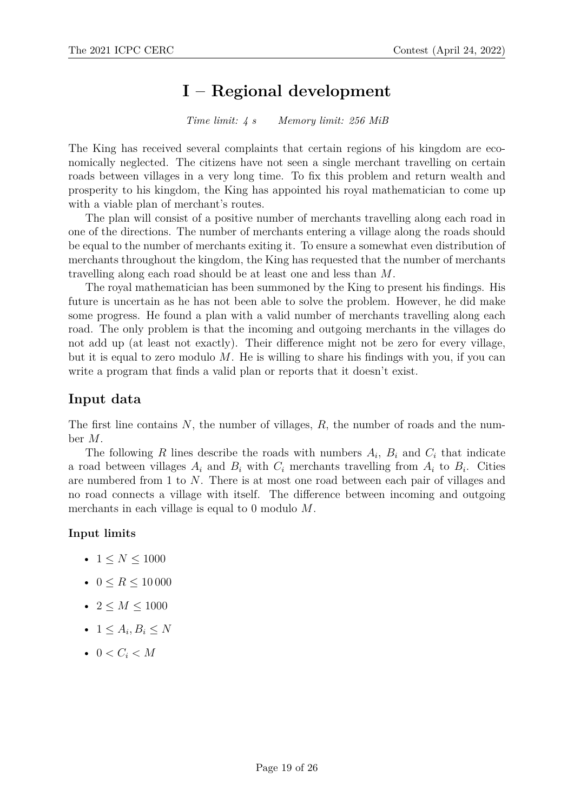# **I – Regional development**

*Time limit: 4 s Memory limit: 256 MiB*

The King has received several complaints that certain regions of his kingdom are economically neglected. The citizens have not seen a single merchant travelling on certain roads between villages in a very long time. To fix this problem and return wealth and prosperity to his kingdom, the King has appointed his royal mathematician to come up with a viable plan of merchant's routes.

The plan will consist of a positive number of merchants travelling along each road in one of the directions. The number of merchants entering a village along the roads should be equal to the number of merchants exiting it. To ensure a somewhat even distribution of merchants throughout the kingdom, the King has requested that the number of merchants travelling along each road should be at least one and less than *M*.

The royal mathematician has been summoned by the King to present his findings. His future is uncertain as he has not been able to solve the problem. However, he did make some progress. He found a plan with a valid number of merchants travelling along each road. The only problem is that the incoming and outgoing merchants in the villages do not add up (at least not exactly). Their difference might not be zero for every village, but it is equal to zero modulo *M*. He is willing to share his findings with you, if you can write a program that finds a valid plan or reports that it doesn't exist.

## **Input data**

The first line contains *N*, the number of villages, *R*, the number of roads and the number *M*.

The following R lines describe the roads with numbers  $A_i$ ,  $B_i$  and  $C_i$  that indicate a road between villages  $A_i$  and  $B_i$  with  $C_i$  merchants travelling from  $A_i$  to  $B_i$ . Cities are numbered from 1 to *N*. There is at most one road between each pair of villages and no road connects a village with itself. The difference between incoming and outgoing merchants in each village is equal to 0 modulo *M*.

#### **Input limits**

- 1  $\leq N \leq 1000$
- $0 \le R \le 10000$
- 2  $\leq M \leq 1000$
- $1 \leq A_i, B_i \leq N$
- $0 < C_i < M$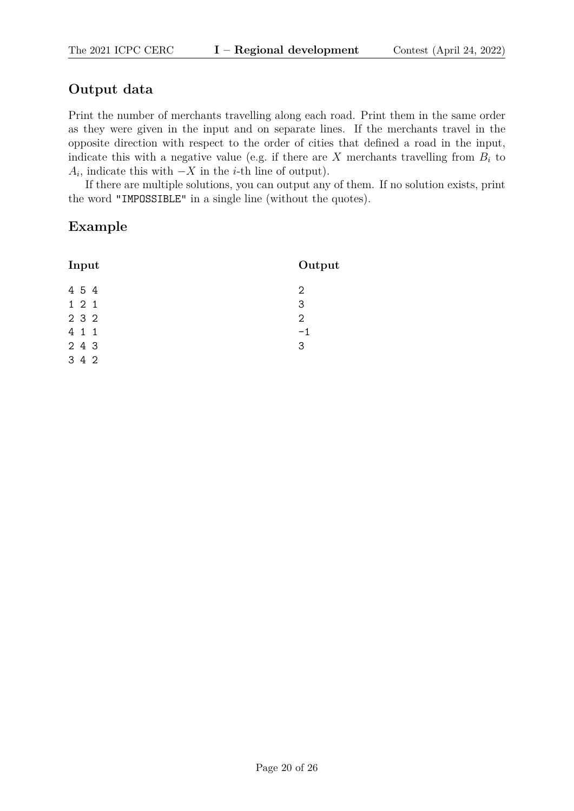# **Output data**

Print the number of merchants travelling along each road. Print them in the same order as they were given in the input and on separate lines. If the merchants travel in the opposite direction with respect to the order of cities that defined a road in the input, indicate this with a negative value (e.g. if there are  $X$  merchants travelling from  $B_i$  to  $A_i$ , indicate this with  $-X$  in the *i*-th line of output).

If there are multiple solutions, you can output any of them. If no solution exists, print the word "IMPOSSIBLE" in a single line (without the quotes).

## **Example**

| Input |       | Output |    |
|-------|-------|--------|----|
|       | 4 5 4 |        | 2  |
|       | 121   |        | 3  |
|       | 2 3 2 |        | 2  |
|       | 4 1 1 |        | -1 |
|       | 2 4 3 |        | 3  |
|       | 3 4 2 |        |    |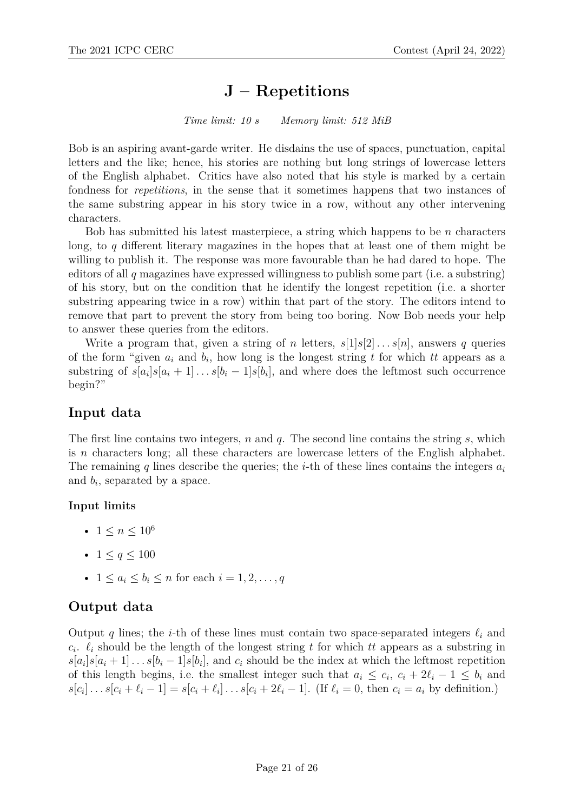# **J – Repetitions**

*Time limit: 10 s Memory limit: 512 MiB*

Bob is an aspiring avant-garde writer. He disdains the use of spaces, punctuation, capital letters and the like; hence, his stories are nothing but long strings of lowercase letters of the English alphabet. Critics have also noted that his style is marked by a certain fondness for *repetitions*, in the sense that it sometimes happens that two instances of the same substring appear in his story twice in a row, without any other intervening characters.

Bob has submitted his latest masterpiece, a string which happens to be *n* characters long, to *q* different literary magazines in the hopes that at least one of them might be willing to publish it. The response was more favourable than he had dared to hope. The editors of all *q* magazines have expressed willingness to publish some part (i.e. a substring) of his story, but on the condition that he identify the longest repetition (i.e. a shorter substring appearing twice in a row) within that part of the story. The editors intend to remove that part to prevent the story from being too boring. Now Bob needs your help to answer these queries from the editors.

Write a program that, given a string of *n* letters,  $s[1]s[2] \ldots s[n]$ , answers *q* queries of the form "given  $a_i$  and  $b_i$ , how long is the longest string  $t$  for which  $tt$  appears as a substring of  $s[a_i]s[a_i+1] \ldots s[b_i-1]s[b_i]$ , and where does the leftmost such occurrence begin?"

## **Input data**

The first line contains two integers, *n* and *q*. The second line contains the string *s*, which is *n* characters long; all these characters are lowercase letters of the English alphabet. The remaining *q* lines describe the queries; the *i*-th of these lines contains the integers *a<sup>i</sup>* and  $b_i$ , separated by a space.

#### **Input limits**

- $1 \leq n \leq 10^6$
- 1  $\leq q \leq 100$
- $1 \leq a_i \leq b_i \leq n$  for each  $i = 1, 2, ..., q$

## **Output data**

Output *q* lines; the *i*-th of these lines must contain two space-separated integers  $\ell_i$  and  $c_i$ .  $\ell_i$  should be the length of the longest string *t* for which *tt* appears as a substring in  $s[a_i]s[a_i+1] \ldots s[b_i-1]s[b_i]$ , and  $c_i$  should be the index at which the leftmost repetition of this length begins, i.e. the smallest integer such that  $a_i \leq c_i$ ,  $c_i + 2\ell_i - 1 \leq b_i$  and  $s[c_i] \dots s[c_i + \ell_i - 1] = s[c_i + \ell_i] \dots s[c_i + 2\ell_i - 1]$ . (If  $\ell_i = 0$ , then  $c_i = a_i$  by definition.)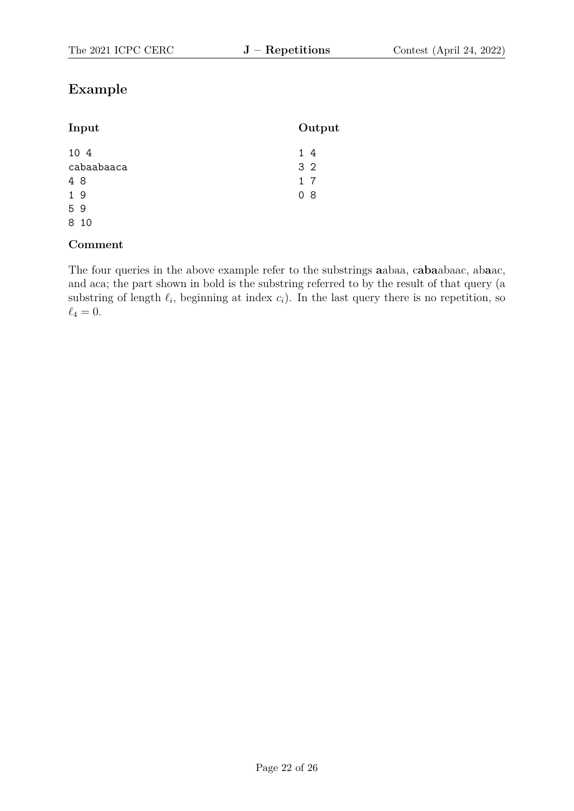| Input      | Output         |
|------------|----------------|
| 10 4       | 14             |
| cabaabaaca | 3 <sub>2</sub> |
| 4 8        | 17             |
| 1 9        | 08             |
| 59         |                |
| 8<br>10    |                |

#### **Comment**

The four queries in the above example refer to the substrings **a**abaa, c**aba**abaac, ab**a**ac, and aca; the part shown in bold is the substring referred to by the result of that query (a substring of length  $\ell_i$ , beginning at index  $c_i$ ). In the last query there is no repetition, so  $\ell_4=0.$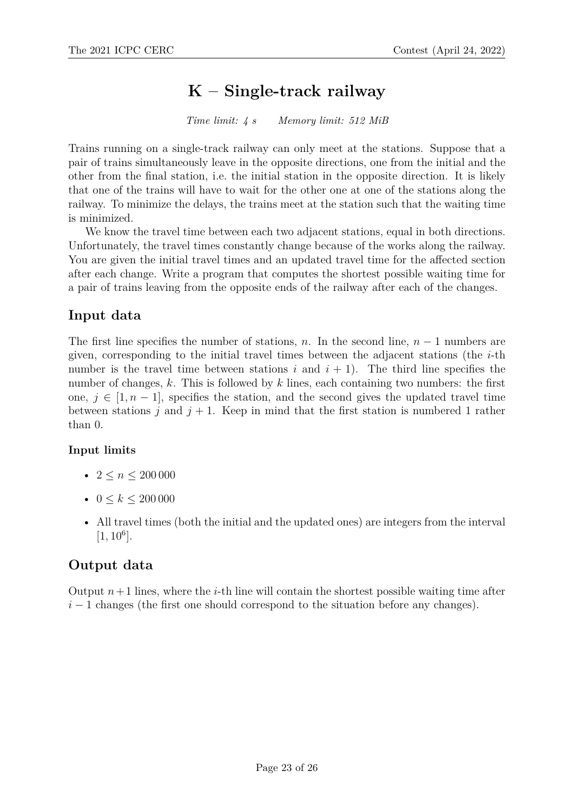# **K – Single-track railway**

*Time limit: 4 s Memory limit: 512 MiB*

Trains running on a single-track railway can only meet at the stations. Suppose that a pair of trains simultaneously leave in the opposite directions, one from the initial and the other from the final station, i.e. the initial station in the opposite direction. It is likely that one of the trains will have to wait for the other one at one of the stations along the railway. To minimize the delays, the trains meet at the station such that the waiting time is minimized.

We know the travel time between each two adjacent stations, equal in both directions. Unfortunately, the travel times constantly change because of the works along the railway. You are given the initial travel times and an updated travel time for the affected section after each change. Write a program that computes the shortest possible waiting time for a pair of trains leaving from the opposite ends of the railway after each of the changes.

# **Input data**

The first line specifies the number of stations, *n*. In the second line,  $n-1$  numbers are given, corresponding to the initial travel times between the adjacent stations (the *i*-th number is the travel time between stations  $i$  and  $i + 1$ ). The third line specifies the number of changes, *k*. This is followed by *k* lines, each containing two numbers: the first one,  $j \in [1, n-1]$ , specifies the station, and the second gives the updated travel time between stations *j* and  $j + 1$ . Keep in mind that the first station is numbered 1 rather than 0.

## **Input limits**

- $2 \leq n \leq 200000$
- $0 \le k \le 200\,000$
- All travel times (both the initial and the updated ones) are integers from the interval  $[1, 10<sup>6</sup>].$

# **Output data**

Output  $n+1$  lines, where the *i*-th line will contain the shortest possible waiting time after  $i-1$  changes (the first one should correspond to the situation before any changes).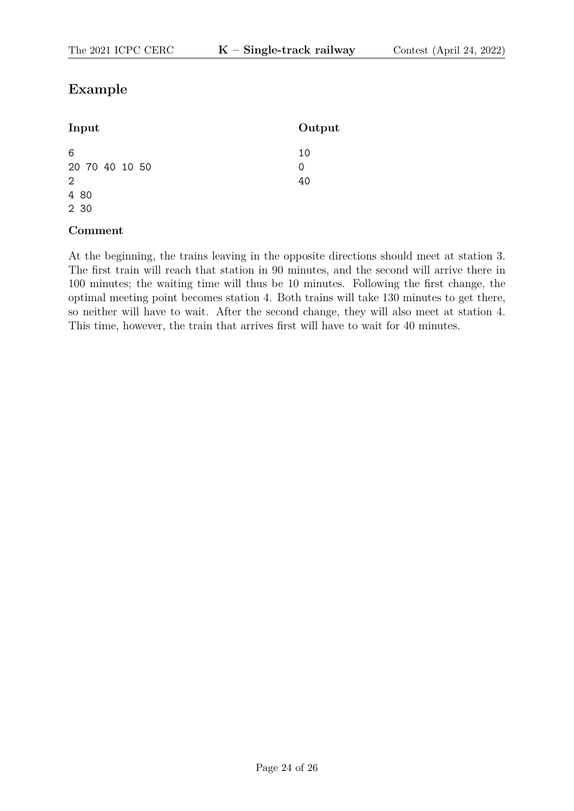| Input          | Output |
|----------------|--------|
| 6              | 10     |
| 20 70 40 10 50 | 0      |
| $\overline{2}$ | 40     |
| 4 80           |        |
| 2 30           |        |
|                |        |

#### **Comment**

At the beginning, the trains leaving in the opposite directions should meet at station 3. The first train will reach that station in 90 minutes, and the second will arrive there in 100 minutes; the waiting time will thus be 10 minutes. Following the first change, the optimal meeting point becomes station 4. Both trains will take 130 minutes to get there, so neither will have to wait. After the second change, they will also meet at station 4. This time, however, the train that arrives first will have to wait for 40 minutes.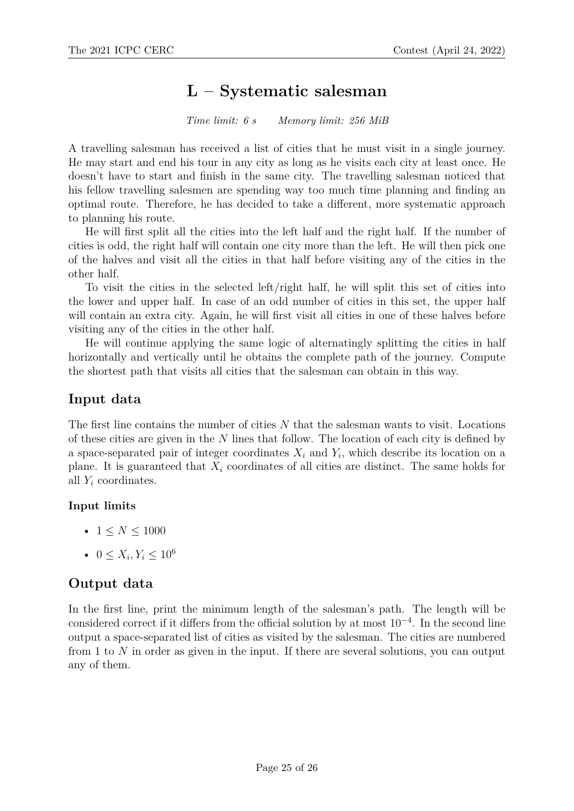# **L – Systematic salesman**

*Time limit: 6 s Memory limit: 256 MiB*

A travelling salesman has received a list of cities that he must visit in a single journey. He may start and end his tour in any city as long as he visits each city at least once. He doesn't have to start and finish in the same city. The travelling salesman noticed that his fellow travelling salesmen are spending way too much time planning and finding an optimal route. Therefore, he has decided to take a different, more systematic approach to planning his route.

He will first split all the cities into the left half and the right half. If the number of cities is odd, the right half will contain one city more than the left. He will then pick one of the halves and visit all the cities in that half before visiting any of the cities in the other half.

To visit the cities in the selected left/right half, he will split this set of cities into the lower and upper half. In case of an odd number of cities in this set, the upper half will contain an extra city. Again, he will first visit all cities in one of these halves before visiting any of the cities in the other half.

He will continue applying the same logic of alternatingly splitting the cities in half horizontally and vertically until he obtains the complete path of the journey. Compute the shortest path that visits all cities that the salesman can obtain in this way.

## **Input data**

The first line contains the number of cities *N* that the salesman wants to visit. Locations of these cities are given in the *N* lines that follow. The location of each city is defined by a space-separated pair of integer coordinates  $X_i$  and  $Y_i$ , which describe its location on a plane. It is guaranteed that  $X_i$  coordinates of all cities are distinct. The same holds for all *Y<sup>i</sup>* coordinates.

#### **Input limits**

- $1 \le N \le 1000$
- $0 \le X_i, Y_i \le 10^6$

## **Output data**

In the first line, print the minimum length of the salesman's path. The length will be considered correct if it differs from the official solution by at most 10<sup>−</sup><sup>4</sup> . In the second line output a space-separated list of cities as visited by the salesman. The cities are numbered from 1 to *N* in order as given in the input. If there are several solutions, you can output any of them.